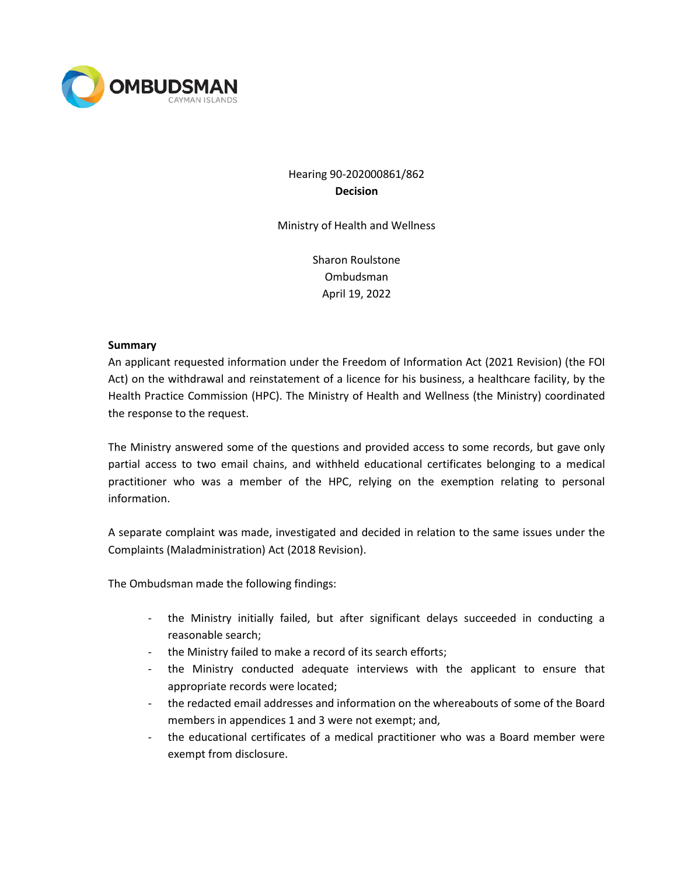

# Hearing 90-202000861/862 **Decision**

Ministry of Health and Wellness

Sharon Roulstone Ombudsman April 19, 2022

#### **Summary**

An applicant requested information under the Freedom of Information Act (2021 Revision) (the FOI Act) on the withdrawal and reinstatement of a licence for his business, a healthcare facility, by the Health Practice Commission (HPC). The Ministry of Health and Wellness (the Ministry) coordinated the response to the request.

The Ministry answered some of the questions and provided access to some records, but gave only partial access to two email chains, and withheld educational certificates belonging to a medical practitioner who was a member of the HPC, relying on the exemption relating to personal information.

A separate complaint was made, investigated and decided in relation to the same issues under the Complaints (Maladministration) Act (2018 Revision).

The Ombudsman made the following findings:

- the Ministry initially failed, but after significant delays succeeded in conducting a reasonable search;
- the Ministry failed to make a record of its search efforts;
- the Ministry conducted adequate interviews with the applicant to ensure that appropriate records were located;
- the redacted email addresses and information on the whereabouts of some of the Board members in appendices 1 and 3 were not exempt; and,
- the educational certificates of a medical practitioner who was a Board member were exempt from disclosure.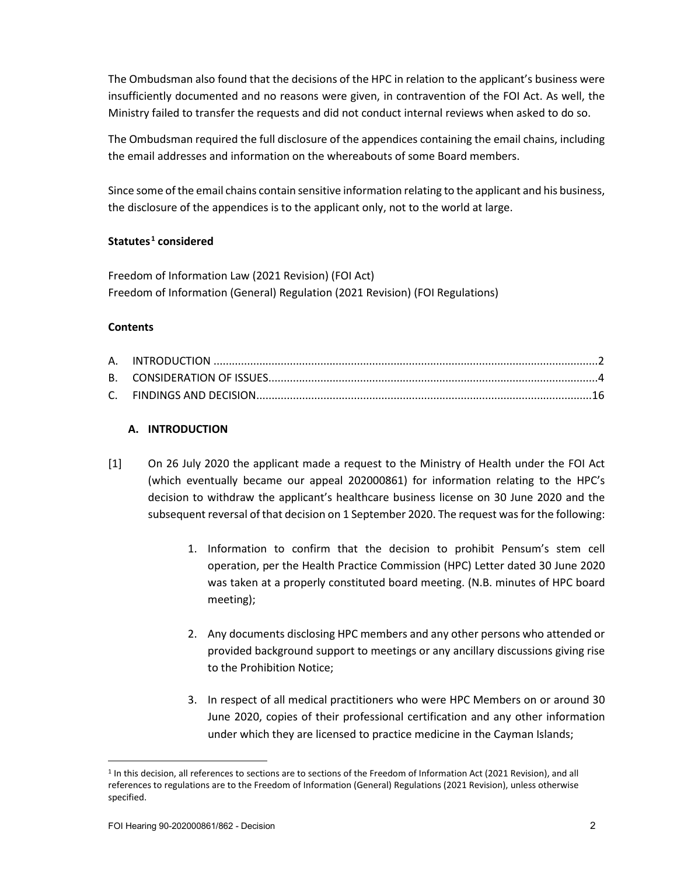The Ombudsman also found that the decisions of the HPC in relation to the applicant's business were insufficiently documented and no reasons were given, in contravention of the FOI Act. As well, the Ministry failed to transfer the requests and did not conduct internal reviews when asked to do so.

The Ombudsman required the full disclosure of the appendices containing the email chains, including the email addresses and information on the whereabouts of some Board members.

Since some of the email chains contain sensitive information relating to the applicant and his business, the disclosure of the appendices is to the applicant only, not to the world at large.

# **Statutes [1](#page-1-0) considered**

Freedom of Information Law (2021 Revision) (FOI Act) Freedom of Information (General) Regulation (2021 Revision) (FOI Regulations)

# **Contents**

# **A. INTRODUCTION**

- [1] On 26 July 2020 the applicant made a request to the Ministry of Health under the FOI Act (which eventually became our appeal 202000861) for information relating to the HPC's decision to withdraw the applicant's healthcare business license on 30 June 2020 and the subsequent reversal of that decision on 1 September 2020. The request was for the following:
	- 1. Information to confirm that the decision to prohibit Pensum's stem cell operation, per the Health Practice Commission (HPC) Letter dated 30 June 2020 was taken at a properly constituted board meeting. (N.B. minutes of HPC board meeting);
	- 2. Any documents disclosing HPC members and any other persons who attended or provided background support to meetings or any ancillary discussions giving rise to the Prohibition Notice;
	- 3. In respect of all medical practitioners who were HPC Members on or around 30 June 2020, copies of their professional certification and any other information under which they are licensed to practice medicine in the Cayman Islands;

<span id="page-1-0"></span><sup>1</sup> In this decision, all references to sections are to sections of the Freedom of Information Act (2021 Revision), and all references to regulations are to the Freedom of Information (General) Regulations (2021 Revision), unless otherwise specified.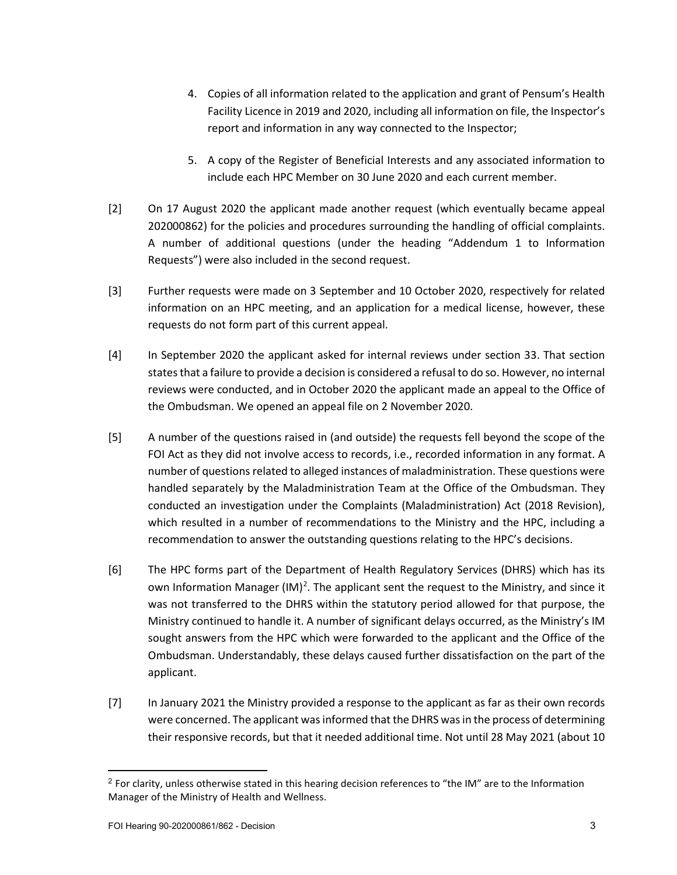- 4. Copies of all information related to the application and grant of Pensum's Health Facility Licence in 2019 and 2020, including all information on file, the Inspector's report and information in any way connected to the Inspector;
- 5. A copy of the Register of Beneficial Interests and any associated information to include each HPC Member on 30 June 2020 and each current member.
- [2] On 17 August 2020 the applicant made another request (which eventually became appeal 202000862) for the policies and procedures surrounding the handling of official complaints. A number of additional questions (under the heading "Addendum 1 to Information Requests") were also included in the second request.
- [3] Further requests were made on 3 September and 10 October 2020, respectively for related information on an HPC meeting, and an application for a medical license, however, these requests do not form part of this current appeal.
- [4] In September 2020 the applicant asked for internal reviews under section 33. That section states that a failure to provide a decision is considered a refusal to do so. However, no internal reviews were conducted, and in October 2020 the applicant made an appeal to the Office of the Ombudsman. We opened an appeal file on 2 November 2020.
- [5] A number of the questions raised in (and outside) the requests fell beyond the scope of the FOI Act as they did not involve access to records, i.e., recorded information in any format. A number of questions related to alleged instances of maladministration. These questions were handled separately by the Maladministration Team at the Office of the Ombudsman. They conducted an investigation under the Complaints (Maladministration) Act (2018 Revision), which resulted in a number of recommendations to the Ministry and the HPC, including a recommendation to answer the outstanding questions relating to the HPC's decisions.
- [6] The HPC forms part of the Department of Health Regulatory Services (DHRS) which has its own Information Manager (IM)<sup>2</sup>. The applicant sent the request to the Ministry, and since it was not transferred to the DHRS within the statutory period allowed for that purpose, the Ministry continued to handle it. A number of significant delays occurred, as the Ministry's IM sought answers from the HPC which were forwarded to the applicant and the Office of the Ombudsman. Understandably, these delays caused further dissatisfaction on the part of the applicant.
- [7] In January 2021 the Ministry provided a response to the applicant as far as their own records were concerned. The applicant was informed that the DHRS was in the process of determining their responsive records, but that it needed additional time. Not until 28 May 2021 (about 10

<span id="page-2-0"></span><sup>&</sup>lt;sup>2</sup> For clarity, unless otherwise stated in this hearing decision references to "the IM" are to the Information Manager of the Ministry of Health and Wellness.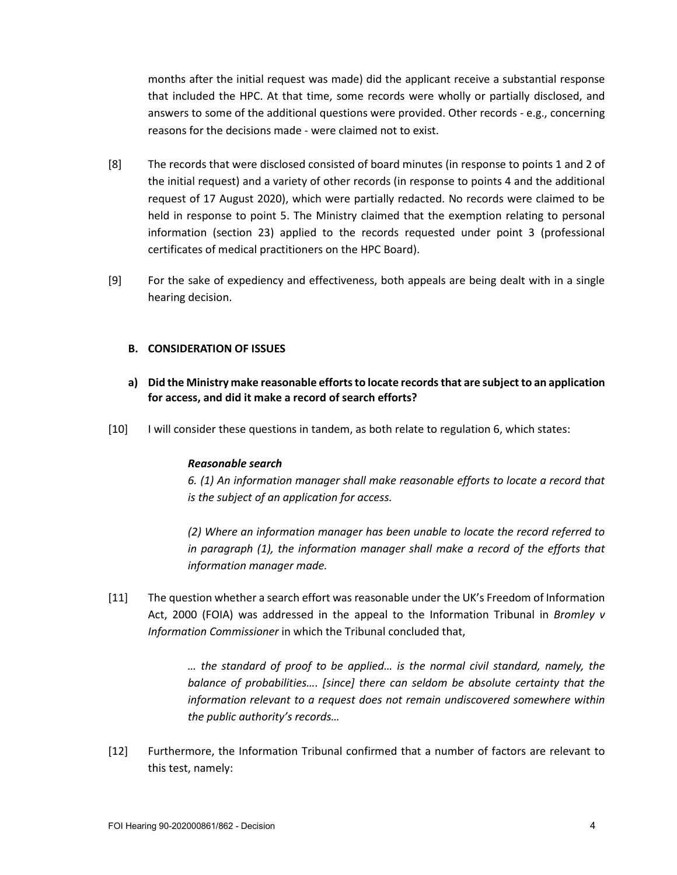months after the initial request was made) did the applicant receive a substantial response that included the HPC. At that time, some records were wholly or partially disclosed, and answers to some of the additional questions were provided. Other records - e.g., concerning reasons for the decisions made - were claimed not to exist.

- [8] The records that were disclosed consisted of board minutes (in response to points 1 and 2 of the initial request) and a variety of other records (in response to points 4 and the additional request of 17 August 2020), which were partially redacted. No records were claimed to be held in response to point 5. The Ministry claimed that the exemption relating to personal information (section 23) applied to the records requested under point 3 (professional certificates of medical practitioners on the HPC Board).
- [9] For the sake of expediency and effectiveness, both appeals are being dealt with in a single hearing decision.

# **B. CONSIDERATION OF ISSUES**

- **a) Did the Ministry make reasonable efforts to locate records that are subject to an application for access, and did it make a record of search efforts?**
- [10] I will consider these questions in tandem, as both relate to regulation 6, which states:

## *Reasonable search*

*6. (1) An information manager shall make reasonable efforts to locate a record that is the subject of an application for access.*

*(2) Where an information manager has been unable to locate the record referred to in paragraph (1), the information manager shall make a record of the efforts that information manager made.*

[11] The question whether a search effort was reasonable under the UK's Freedom of Information Act, 2000 (FOIA) was addressed in the appeal to the Information Tribunal in *Bromley v Information Commissioner* in which the Tribunal concluded that,

> *… the standard of proof to be applied… is the normal civil standard, namely, the balance of probabilities…. [since] there can seldom be absolute certainty that the information relevant to a request does not remain undiscovered somewhere within the public authority's records…*

[12] Furthermore, the Information Tribunal confirmed that a number of factors are relevant to this test, namely: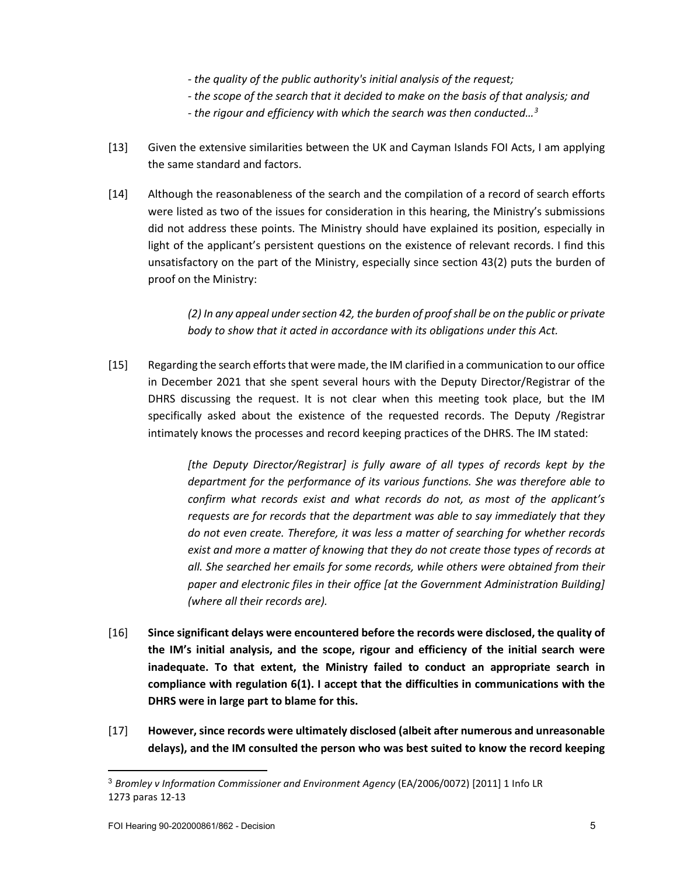- *- the quality of the public authority's initial analysis of the request;*
- *- the scope of the search that it decided to make on the basis of that analysis; and*
- *- the rigour and efficiency with which the search was then conducted[…3](#page-4-0)*
- [13] Given the extensive similarities between the UK and Cayman Islands FOI Acts, I am applying the same standard and factors.
- [14] Although the reasonableness of the search and the compilation of a record of search efforts were listed as two of the issues for consideration in this hearing, the Ministry's submissions did not address these points. The Ministry should have explained its position, especially in light of the applicant's persistent questions on the existence of relevant records. I find this unsatisfactory on the part of the Ministry, especially since section 43(2) puts the burden of proof on the Ministry:

*(2) In any appeal under section 42, the burden of proof shall be on the public or private body to show that it acted in accordance with its obligations under this Act.*

[15] Regarding the search efforts that were made, the IM clarified in a communication to our office in December 2021 that she spent several hours with the Deputy Director/Registrar of the DHRS discussing the request. It is not clear when this meeting took place, but the IM specifically asked about the existence of the requested records. The Deputy /Registrar intimately knows the processes and record keeping practices of the DHRS. The IM stated:

> *[the Deputy Director/Registrar] is fully aware of all types of records kept by the department for the performance of its various functions. She was therefore able to confirm what records exist and what records do not, as most of the applicant's requests are for records that the department was able to say immediately that they do not even create. Therefore, it was less a matter of searching for whether records exist and more a matter of knowing that they do not create those types of records at all. She searched her emails for some records, while others were obtained from their paper and electronic files in their office [at the Government Administration Building] (where all their records are).*

- [16] **Since significant delays were encountered before the records were disclosed, the quality of the IM's initial analysis, and the scope, rigour and efficiency of the initial search were inadequate. To that extent, the Ministry failed to conduct an appropriate search in compliance with regulation 6(1). I accept that the difficulties in communications with the DHRS were in large part to blame for this.**
- [17] **However, since records were ultimately disclosed (albeit after numerous and unreasonable delays), and the IM consulted the person who was best suited to know the record keeping**

<span id="page-4-0"></span><sup>3</sup> *Bromley v Information Commissioner and Environment Agency* (EA/2006/0072) [2011] 1 Info LR 1273 paras 12-13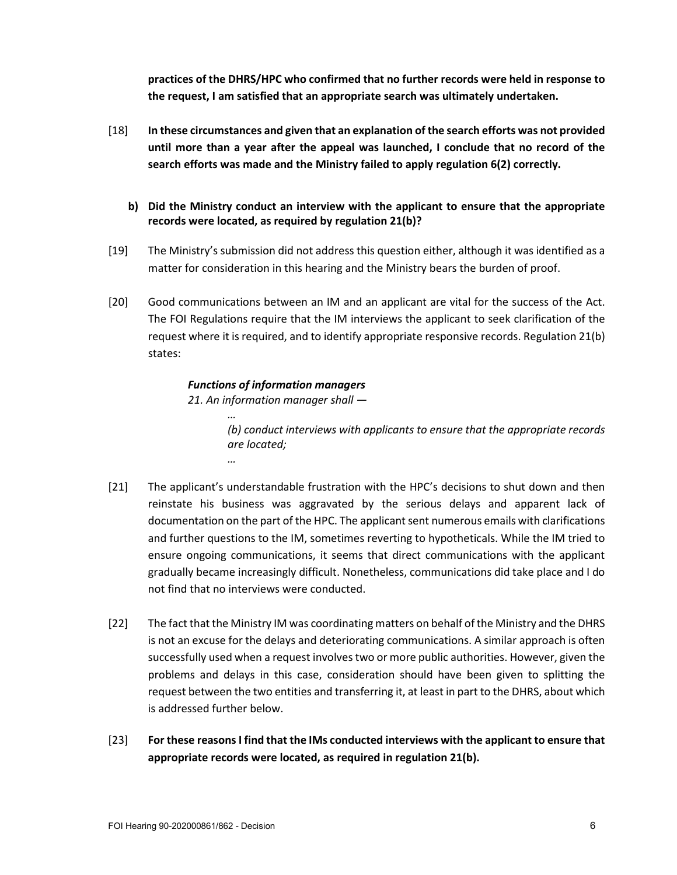**practices of the DHRS/HPC who confirmed that no further records were held in response to the request, I am satisfied that an appropriate search was ultimately undertaken.**

- [18] **In these circumstances and given that an explanation of the search efforts was not provided until more than a year after the appeal was launched, I conclude that no record of the search efforts was made and the Ministry failed to apply regulation 6(2) correctly.** 
	- **b) Did the Ministry conduct an interview with the applicant to ensure that the appropriate records were located, as required by regulation 21(b)?**
- [19] The Ministry's submission did not address this question either, although it was identified as a matter for consideration in this hearing and the Ministry bears the burden of proof.
- [20] Good communications between an IM and an applicant are vital for the success of the Act. The FOI Regulations require that the IM interviews the applicant to seek clarification of the request where it is required, and to identify appropriate responsive records. Regulation 21(b) states:

# *Functions of information managers*

*21. An information manager shall —*

*…*

*… (b) conduct interviews with applicants to ensure that the appropriate records are located;*

- [21] The applicant's understandable frustration with the HPC's decisions to shut down and then reinstate his business was aggravated by the serious delays and apparent lack of documentation on the part of the HPC. The applicant sent numerous emails with clarifications and further questions to the IM, sometimes reverting to hypotheticals. While the IM tried to ensure ongoing communications, it seems that direct communications with the applicant gradually became increasingly difficult. Nonetheless, communications did take place and I do not find that no interviews were conducted.
- [22] The fact that the Ministry IM was coordinating matters on behalf of the Ministry and the DHRS is not an excuse for the delays and deteriorating communications. A similar approach is often successfully used when a request involves two or more public authorities. However, given the problems and delays in this case, consideration should have been given to splitting the request between the two entities and transferring it, at least in part to the DHRS, about which is addressed further below.
- [23] **For these reasons I find that the IMs conducted interviews with the applicant to ensure that appropriate records were located, as required in regulation 21(b).**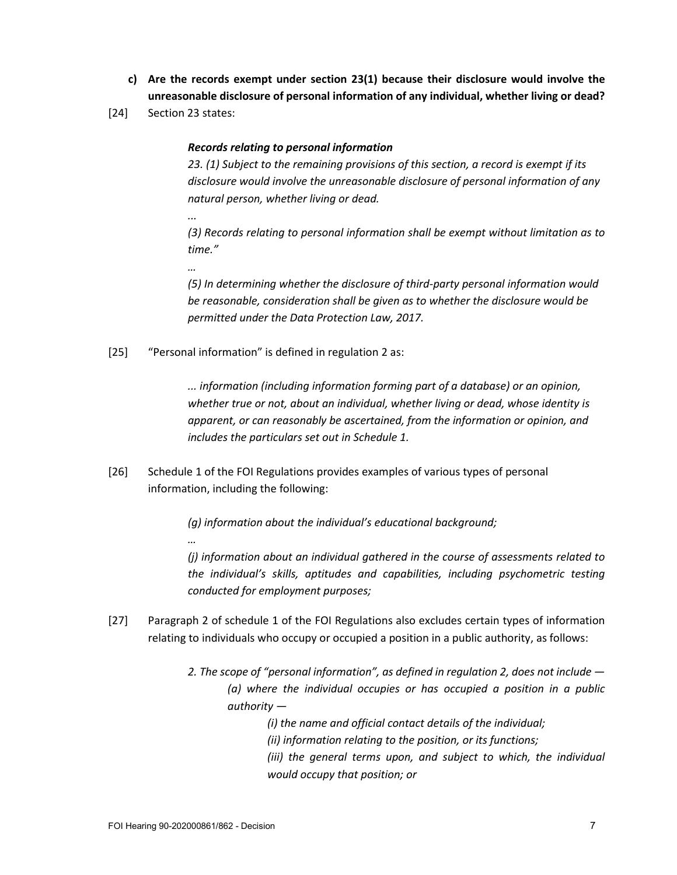- **c) Are the records exempt under section 23(1) because their disclosure would involve the unreasonable disclosure of personal information of any individual, whether living or dead?**
- [24] Section 23 states:

*...*

*…*

*…*

# *Records relating to personal information*

*23. (1) Subject to the remaining provisions of this section, a record is exempt if its disclosure would involve the unreasonable disclosure of personal information of any natural person, whether living or dead.*

*(3) Records relating to personal information shall be exempt without limitation as to time."*

*(5) In determining whether the disclosure of third-party personal information would be reasonable, consideration shall be given as to whether the disclosure would be permitted under the Data Protection Law, 2017.*

[25] "Personal information" is defined in regulation 2 as:

*... information (including information forming part of a database) or an opinion, whether true or not, about an individual, whether living or dead, whose identity is apparent, or can reasonably be ascertained, from the information or opinion, and includes the particulars set out in Schedule 1.*

[26] Schedule 1 of the FOI Regulations provides examples of various types of personal information, including the following:

*(g) information about the individual's educational background;*

*(j) information about an individual gathered in the course of assessments related to the individual's skills, aptitudes and capabilities, including psychometric testing conducted for employment purposes;*

- [27] Paragraph 2 of schedule 1 of the FOI Regulations also excludes certain types of information relating to individuals who occupy or occupied a position in a public authority, as follows:
	- *2. The scope of "personal information", as defined in regulation 2, does not include — (a) where the individual occupies or has occupied a position in a public authority —*

*(i) the name and official contact details of the individual;*

- *(ii) information relating to the position, or its functions;*
- *(iii) the general terms upon, and subject to which, the individual would occupy that position; or*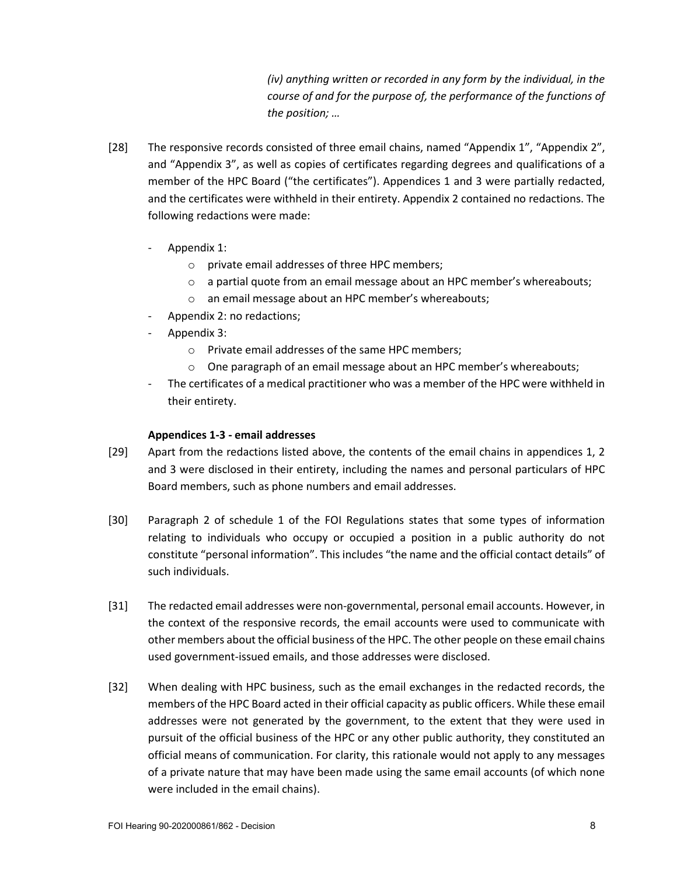*(iv) anything written or recorded in any form by the individual, in the course of and for the purpose of, the performance of the functions of the position; …*

- [28] The responsive records consisted of three email chains, named "Appendix 1", "Appendix 2", and "Appendix 3", as well as copies of certificates regarding degrees and qualifications of a member of the HPC Board ("the certificates"). Appendices 1 and 3 were partially redacted, and the certificates were withheld in their entirety. Appendix 2 contained no redactions. The following redactions were made:
	- Appendix 1:
		- o private email addresses of three HPC members;
		- o a partial quote from an email message about an HPC member's whereabouts;
		- o an email message about an HPC member's whereabouts;
	- Appendix 2: no redactions;
	- Appendix 3:
		- o Private email addresses of the same HPC members;
		- $\circ$  One paragraph of an email message about an HPC member's whereabouts;
	- The certificates of a medical practitioner who was a member of the HPC were withheld in their entirety.

#### **Appendices 1-3 - email addresses**

- [29] Apart from the redactions listed above, the contents of the email chains in appendices 1, 2 and 3 were disclosed in their entirety, including the names and personal particulars of HPC Board members, such as phone numbers and email addresses.
- [30] Paragraph 2 of schedule 1 of the FOI Regulations states that some types of information relating to individuals who occupy or occupied a position in a public authority do not constitute "personal information". This includes "the name and the official contact details" of such individuals.
- [31] The redacted email addresses were non-governmental, personal email accounts. However, in the context of the responsive records, the email accounts were used to communicate with other members about the official business of the HPC. The other people on these email chains used government-issued emails, and those addresses were disclosed.
- [32] When dealing with HPC business, such as the email exchanges in the redacted records, the members of the HPC Board acted in their official capacity as public officers. While these email addresses were not generated by the government, to the extent that they were used in pursuit of the official business of the HPC or any other public authority, they constituted an official means of communication. For clarity, this rationale would not apply to any messages of a private nature that may have been made using the same email accounts (of which none were included in the email chains).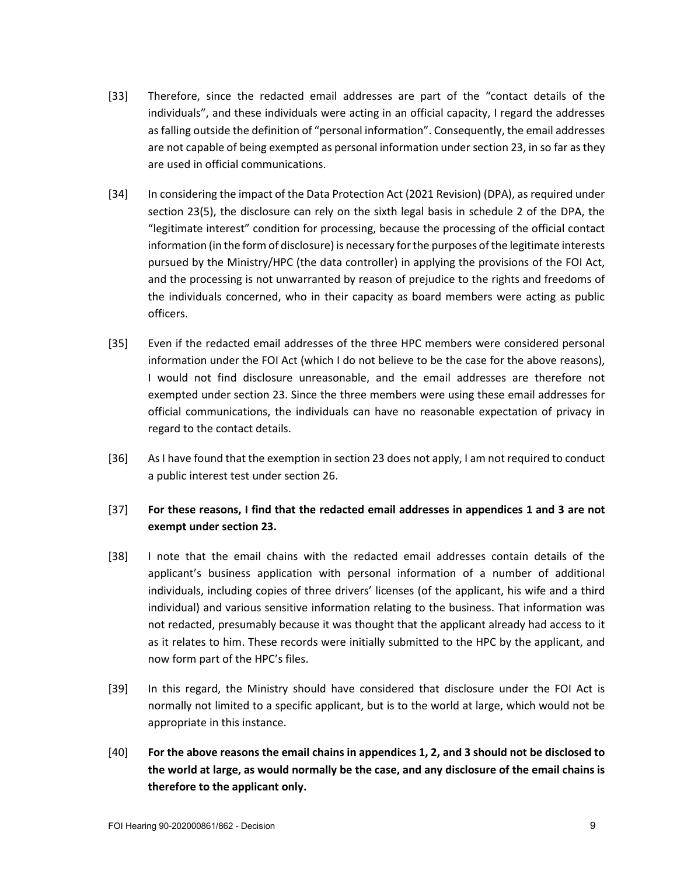- [33] Therefore, since the redacted email addresses are part of the "contact details of the individuals", and these individuals were acting in an official capacity, I regard the addresses as falling outside the definition of "personal information". Consequently, the email addresses are not capable of being exempted as personal information under section 23, in so far as they are used in official communications.
- [34] In considering the impact of the Data Protection Act (2021 Revision) (DPA), as required under section 23(5), the disclosure can rely on the sixth legal basis in schedule 2 of the DPA, the "legitimate interest" condition for processing, because the processing of the official contact information (in the form of disclosure) is necessary for the purposes of the legitimate interests pursued by the Ministry/HPC (the data controller) in applying the provisions of the FOI Act, and the processing is not unwarranted by reason of prejudice to the rights and freedoms of the individuals concerned, who in their capacity as board members were acting as public officers.
- [35] Even if the redacted email addresses of the three HPC members were considered personal information under the FOI Act (which I do not believe to be the case for the above reasons), I would not find disclosure unreasonable, and the email addresses are therefore not exempted under section 23. Since the three members were using these email addresses for official communications, the individuals can have no reasonable expectation of privacy in regard to the contact details.
- [36] As I have found that the exemption in section 23 does not apply, I am not required to conduct a public interest test under section 26.

# [37] **For these reasons, I find that the redacted email addresses in appendices 1 and 3 are not exempt under section 23.**

- [38] I note that the email chains with the redacted email addresses contain details of the applicant's business application with personal information of a number of additional individuals, including copies of three drivers' licenses (of the applicant, his wife and a third individual) and various sensitive information relating to the business. That information was not redacted, presumably because it was thought that the applicant already had access to it as it relates to him. These records were initially submitted to the HPC by the applicant, and now form part of the HPC's files.
- [39] In this regard, the Ministry should have considered that disclosure under the FOI Act is normally not limited to a specific applicant, but is to the world at large, which would not be appropriate in this instance.
- [40] **For the above reasons the email chains in appendices 1, 2, and 3 should not be disclosed to the world at large, as would normally be the case, and any disclosure of the email chains is therefore to the applicant only.**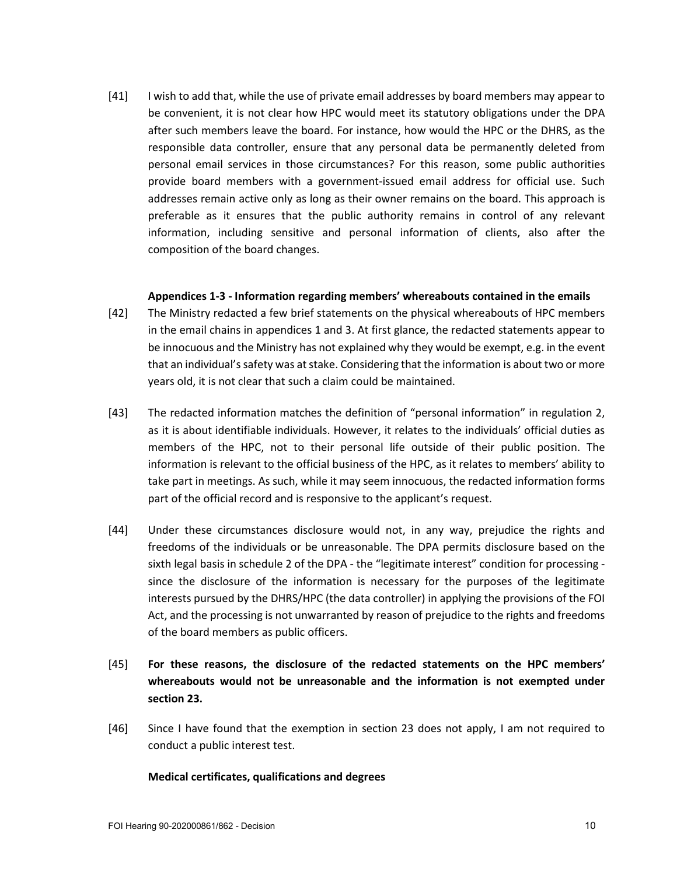[41] I wish to add that, while the use of private email addresses by board members may appear to be convenient, it is not clear how HPC would meet its statutory obligations under the DPA after such members leave the board. For instance, how would the HPC or the DHRS, as the responsible data controller, ensure that any personal data be permanently deleted from personal email services in those circumstances? For this reason, some public authorities provide board members with a government-issued email address for official use. Such addresses remain active only as long as their owner remains on the board. This approach is preferable as it ensures that the public authority remains in control of any relevant information, including sensitive and personal information of clients, also after the composition of the board changes.

#### **Appendices 1-3 - Information regarding members' whereabouts contained in the emails**

- [42] The Ministry redacted a few brief statements on the physical whereabouts of HPC members in the email chains in appendices 1 and 3. At first glance, the redacted statements appear to be innocuous and the Ministry has not explained why they would be exempt, e.g. in the event that an individual's safety was at stake. Considering that the information is about two or more years old, it is not clear that such a claim could be maintained.
- [43] The redacted information matches the definition of "personal information" in regulation 2, as it is about identifiable individuals. However, it relates to the individuals' official duties as members of the HPC, not to their personal life outside of their public position. The information is relevant to the official business of the HPC, as it relates to members' ability to take part in meetings. As such, while it may seem innocuous, the redacted information forms part of the official record and is responsive to the applicant's request.
- [44] Under these circumstances disclosure would not, in any way, prejudice the rights and freedoms of the individuals or be unreasonable. The DPA permits disclosure based on the sixth legal basis in schedule 2 of the DPA - the "legitimate interest" condition for processing since the disclosure of the information is necessary for the purposes of the legitimate interests pursued by the DHRS/HPC (the data controller) in applying the provisions of the FOI Act, and the processing is not unwarranted by reason of prejudice to the rights and freedoms of the board members as public officers.
- [45] **For these reasons, the disclosure of the redacted statements on the HPC members' whereabouts would not be unreasonable and the information is not exempted under section 23.**
- [46] Since I have found that the exemption in section 23 does not apply, I am not required to conduct a public interest test.

## **Medical certificates, qualifications and degrees**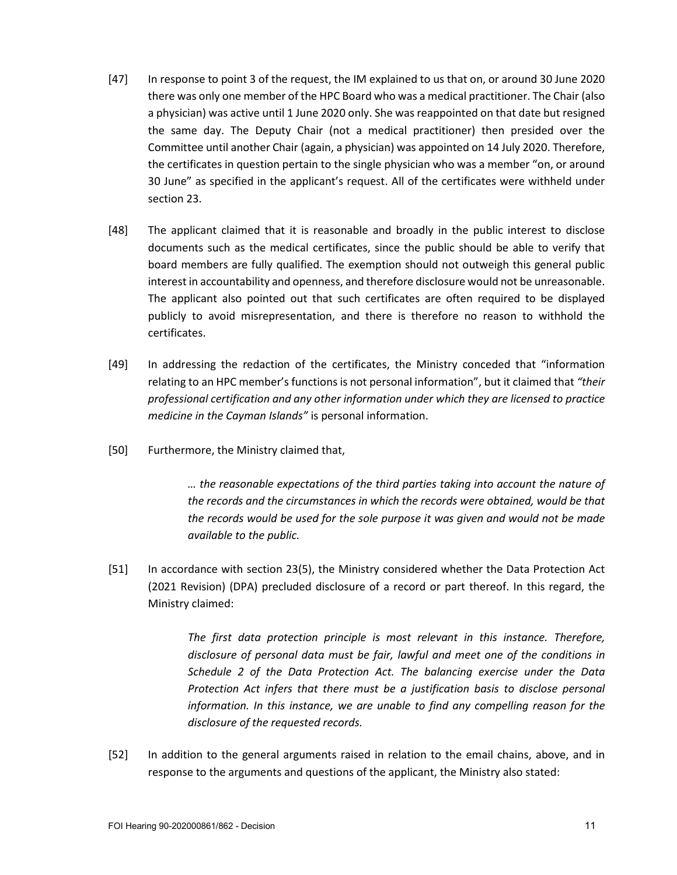- [47] In response to point 3 of the request, the IM explained to us that on, or around 30 June 2020 there was only one member of the HPC Board who was a medical practitioner. The Chair (also a physician) was active until 1 June 2020 only. She was reappointed on that date but resigned the same day. The Deputy Chair (not a medical practitioner) then presided over the Committee until another Chair (again, a physician) was appointed on 14 July 2020. Therefore, the certificates in question pertain to the single physician who was a member "on, or around 30 June" as specified in the applicant's request. All of the certificates were withheld under section 23.
- [48] The applicant claimed that it is reasonable and broadly in the public interest to disclose documents such as the medical certificates, since the public should be able to verify that board members are fully qualified. The exemption should not outweigh this general public interest in accountability and openness, and therefore disclosure would not be unreasonable. The applicant also pointed out that such certificates are often required to be displayed publicly to avoid misrepresentation, and there is therefore no reason to withhold the certificates.
- [49] In addressing the redaction of the certificates, the Ministry conceded that "information relating to an HPC member's functions is not personal information", but it claimed that *"their professional certification and any other information under which they are licensed to practice medicine in the Cayman Islands"* is personal information.
- [50] Furthermore, the Ministry claimed that,

*… the reasonable expectations of the third parties taking into account the nature of the records and the circumstances in which the records were obtained, would be that the records would be used for the sole purpose it was given and would not be made available to the public.*

[51] In accordance with section 23(5), the Ministry considered whether the Data Protection Act (2021 Revision) (DPA) precluded disclosure of a record or part thereof. In this regard, the Ministry claimed:

> *The first data protection principle is most relevant in this instance. Therefore, disclosure of personal data must be fair, lawful and meet one of the conditions in Schedule 2 of the Data Protection Act. The balancing exercise under the Data Protection Act infers that there must be a justification basis to disclose personal information. In this instance, we are unable to find any compelling reason for the disclosure of the requested records.*

[52] In addition to the general arguments raised in relation to the email chains, above, and in response to the arguments and questions of the applicant, the Ministry also stated: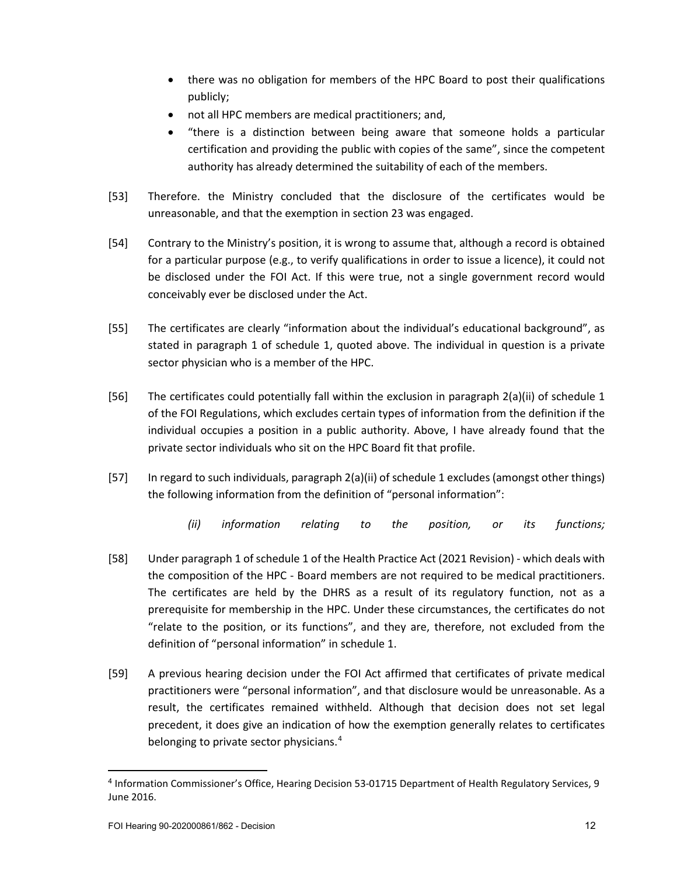- there was no obligation for members of the HPC Board to post their qualifications publicly;
- not all HPC members are medical practitioners; and,
- "there is a distinction between being aware that someone holds a particular certification and providing the public with copies of the same", since the competent authority has already determined the suitability of each of the members.
- [53] Therefore. the Ministry concluded that the disclosure of the certificates would be unreasonable, and that the exemption in section 23 was engaged.
- [54] Contrary to the Ministry's position, it is wrong to assume that, although a record is obtained for a particular purpose (e.g., to verify qualifications in order to issue a licence), it could not be disclosed under the FOI Act. If this were true, not a single government record would conceivably ever be disclosed under the Act.
- [55] The certificates are clearly "information about the individual's educational background", as stated in paragraph 1 of schedule 1, quoted above. The individual in question is a private sector physician who is a member of the HPC.
- [56] The certificates could potentially fall within the exclusion in paragraph 2(a)(ii) of schedule 1 of the FOI Regulations, which excludes certain types of information from the definition if the individual occupies a position in a public authority. Above, I have already found that the private sector individuals who sit on the HPC Board fit that profile.
- [57] In regard to such individuals, paragraph 2(a)(ii) of schedule 1 excludes (amongst other things) the following information from the definition of "personal information":
	- *(ii) information relating to the position, or its functions;*
- [58] Under paragraph 1 of schedule 1 of the Health Practice Act (2021 Revision) which deals with the composition of the HPC - Board members are not required to be medical practitioners. The certificates are held by the DHRS as a result of its regulatory function, not as a prerequisite for membership in the HPC. Under these circumstances, the certificates do not "relate to the position, or its functions", and they are, therefore, not excluded from the definition of "personal information" in schedule 1.
- [59] A previous hearing decision under the FOI Act affirmed that certificates of private medical practitioners were "personal information", and that disclosure would be unreasonable. As a result, the certificates remained withheld. Although that decision does not set legal precedent, it does give an indication of how the exemption generally relates to certificates belonging to private sector physicians.<sup>[4](#page-11-0)</sup>

<span id="page-11-0"></span><sup>4</sup> Information Commissioner's Office, Hearing Decision 53-01715 Department of Health Regulatory Services, 9 June 2016.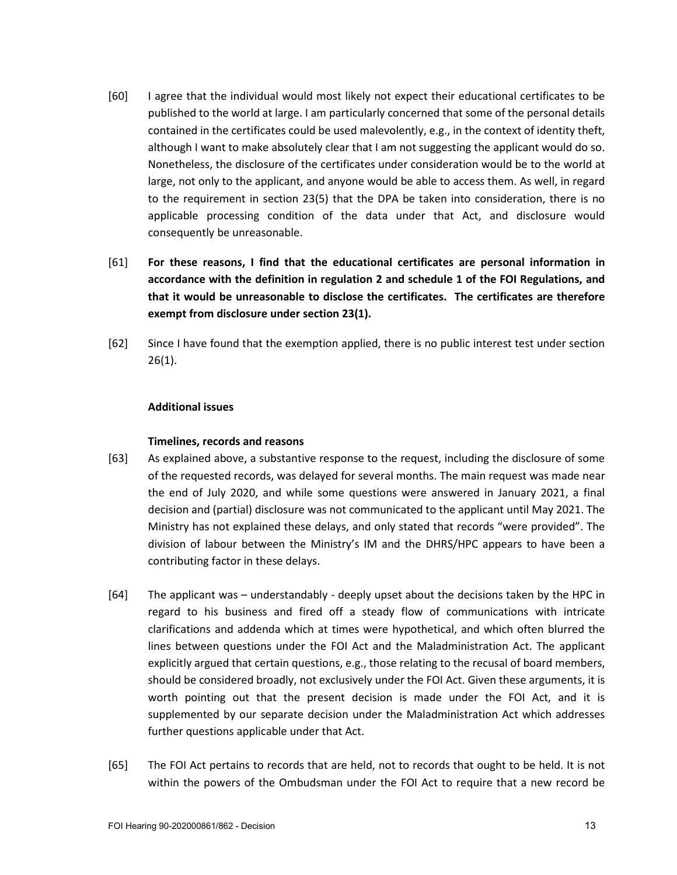- [60] I agree that the individual would most likely not expect their educational certificates to be published to the world at large. I am particularly concerned that some of the personal details contained in the certificates could be used malevolently, e.g., in the context of identity theft, although I want to make absolutely clear that I am not suggesting the applicant would do so. Nonetheless, the disclosure of the certificates under consideration would be to the world at large, not only to the applicant, and anyone would be able to access them. As well, in regard to the requirement in section 23(5) that the DPA be taken into consideration, there is no applicable processing condition of the data under that Act, and disclosure would consequently be unreasonable.
- [61] **For these reasons, I find that the educational certificates are personal information in accordance with the definition in regulation 2 and schedule 1 of the FOI Regulations, and that it would be unreasonable to disclose the certificates. The certificates are therefore exempt from disclosure under section 23(1).**
- [62] Since I have found that the exemption applied, there is no public interest test under section 26(1).

#### **Additional issues**

#### **Timelines, records and reasons**

- [63] As explained above, a substantive response to the request, including the disclosure of some of the requested records, was delayed for several months. The main request was made near the end of July 2020, and while some questions were answered in January 2021, a final decision and (partial) disclosure was not communicated to the applicant until May 2021. The Ministry has not explained these delays, and only stated that records "were provided". The division of labour between the Ministry's IM and the DHRS/HPC appears to have been a contributing factor in these delays.
- [64] The applicant was understandably deeply upset about the decisions taken by the HPC in regard to his business and fired off a steady flow of communications with intricate clarifications and addenda which at times were hypothetical, and which often blurred the lines between questions under the FOI Act and the Maladministration Act. The applicant explicitly argued that certain questions, e.g., those relating to the recusal of board members, should be considered broadly, not exclusively under the FOI Act. Given these arguments, it is worth pointing out that the present decision is made under the FOI Act, and it is supplemented by our separate decision under the Maladministration Act which addresses further questions applicable under that Act.
- [65] The FOI Act pertains to records that are held, not to records that ought to be held. It is not within the powers of the Ombudsman under the FOI Act to require that a new record be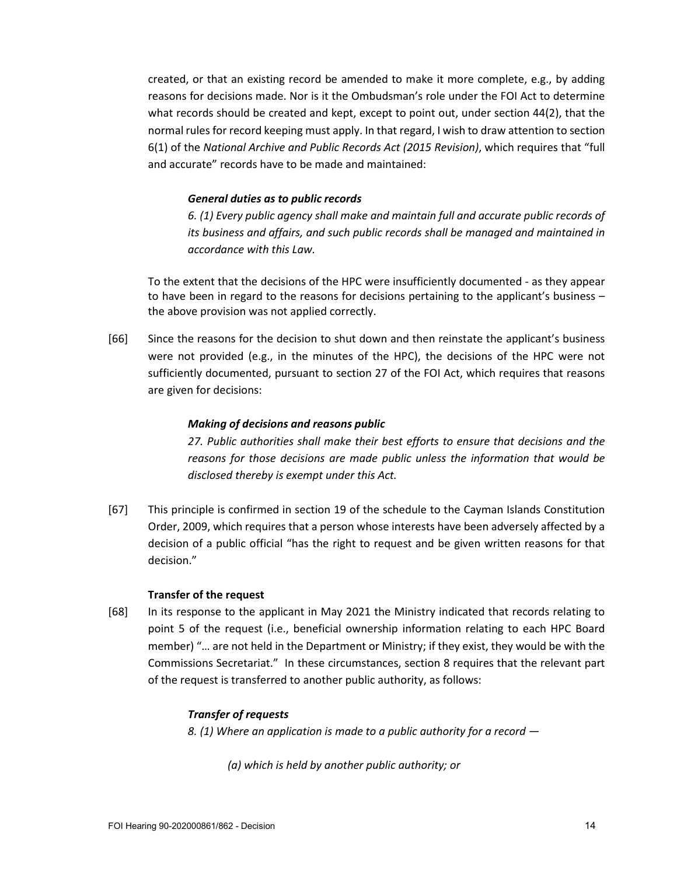created, or that an existing record be amended to make it more complete, e.g., by adding reasons for decisions made. Nor is it the Ombudsman's role under the FOI Act to determine what records should be created and kept, except to point out, under section 44(2), that the normal rules for record keeping must apply. In that regard, I wish to draw attention to section 6(1) of the *National Archive and Public Records Act (2015 Revision)*, which requires that "full and accurate" records have to be made and maintained:

#### *General duties as to public records*

*6. (1) Every public agency shall make and maintain full and accurate public records of its business and affairs, and such public records shall be managed and maintained in accordance with this Law.*

To the extent that the decisions of the HPC were insufficiently documented - as they appear to have been in regard to the reasons for decisions pertaining to the applicant's business – the above provision was not applied correctly.

[66] Since the reasons for the decision to shut down and then reinstate the applicant's business were not provided (e.g., in the minutes of the HPC), the decisions of the HPC were not sufficiently documented, pursuant to section 27 of the FOI Act, which requires that reasons are given for decisions:

#### *Making of decisions and reasons public*

*27. Public authorities shall make their best efforts to ensure that decisions and the reasons for those decisions are made public unless the information that would be disclosed thereby is exempt under this Act.*

[67] This principle is confirmed in section 19 of the schedule to the Cayman Islands Constitution Order, 2009, which requires that a person whose interests have been adversely affected by a decision of a public official "has the right to request and be given written reasons for that decision."

#### **Transfer of the request**

[68] In its response to the applicant in May 2021 the Ministry indicated that records relating to point 5 of the request (i.e., beneficial ownership information relating to each HPC Board member) "… are not held in the Department or Ministry; if they exist, they would be with the Commissions Secretariat." In these circumstances, section 8 requires that the relevant part of the request is transferred to another public authority, as follows:

#### *Transfer of requests*

*8. (1) Where an application is made to a public authority for a record —*

*(a) which is held by another public authority; or*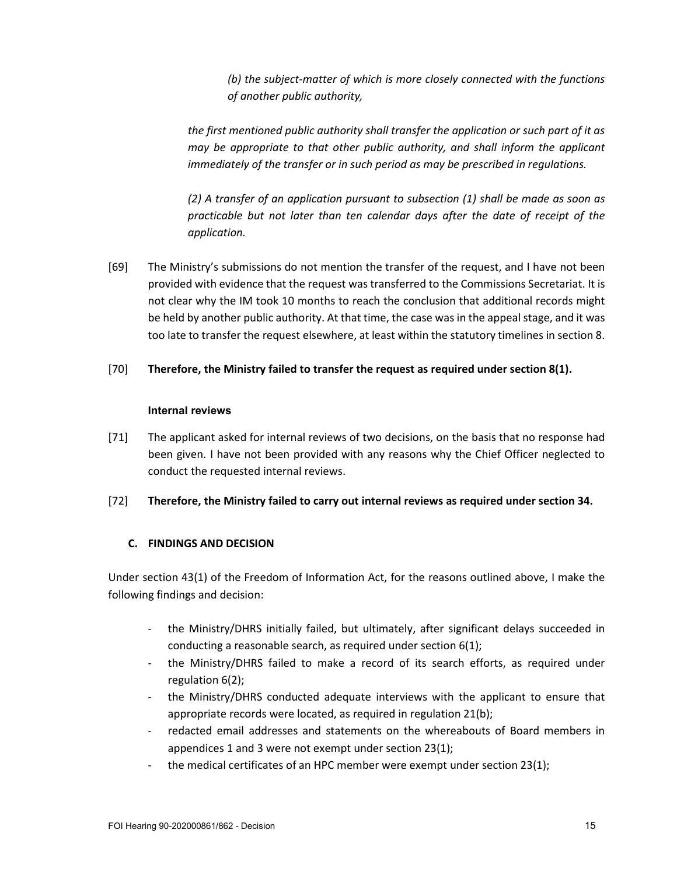*(b) the subject-matter of which is more closely connected with the functions of another public authority,*

*the first mentioned public authority shall transfer the application or such part of it as may be appropriate to that other public authority, and shall inform the applicant immediately of the transfer or in such period as may be prescribed in regulations.*

*(2) A transfer of an application pursuant to subsection (1) shall be made as soon as practicable but not later than ten calendar days after the date of receipt of the application.*

[69] The Ministry's submissions do not mention the transfer of the request, and I have not been provided with evidence that the request was transferred to the Commissions Secretariat. It is not clear why the IM took 10 months to reach the conclusion that additional records might be held by another public authority. At that time, the case was in the appeal stage, and it was too late to transfer the request elsewhere, at least within the statutory timelines in section 8.

## [70] **Therefore, the Ministry failed to transfer the request as required under section 8(1).**

## **Internal reviews**

[71] The applicant asked for internal reviews of two decisions, on the basis that no response had been given. I have not been provided with any reasons why the Chief Officer neglected to conduct the requested internal reviews.

## [72] **Therefore, the Ministry failed to carry out internal reviews as required under section 34.**

## **C. FINDINGS AND DECISION**

Under section 43(1) of the Freedom of Information Act, for the reasons outlined above, I make the following findings and decision:

- the Ministry/DHRS initially failed, but ultimately, after significant delays succeeded in conducting a reasonable search, as required under section 6(1);
- the Ministry/DHRS failed to make a record of its search efforts, as required under regulation 6(2);
- the Ministry/DHRS conducted adequate interviews with the applicant to ensure that appropriate records were located, as required in regulation 21(b);
- redacted email addresses and statements on the whereabouts of Board members in appendices 1 and 3 were not exempt under section 23(1);
- the medical certificates of an HPC member were exempt under section 23(1);